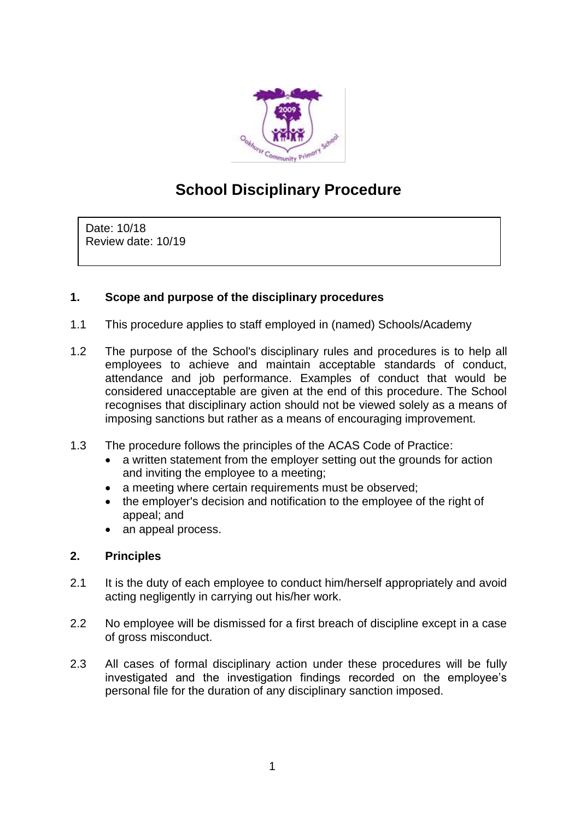

# **School Disciplinary Procedure**

Date: 10/18 Review date: 10/19

# **1. Scope and purpose of the disciplinary procedures**

- 1.1 This procedure applies to staff employed in (named) Schools/Academy
- 1.2 The purpose of the School's disciplinary rules and procedures is to help all employees to achieve and maintain acceptable standards of conduct, attendance and job performance. Examples of conduct that would be considered unacceptable are given at the end of this procedure. The School recognises that disciplinary action should not be viewed solely as a means of imposing sanctions but rather as a means of encouraging improvement.
- 1.3 The procedure follows the principles of the ACAS Code of Practice:
	- a written statement from the employer setting out the grounds for action and inviting the employee to a meeting;
	- a meeting where certain requirements must be observed:
	- the employer's decision and notification to the employee of the right of appeal; and
	- an appeal process.

# **2. Principles**

- 2.1 It is the duty of each employee to conduct him/herself appropriately and avoid acting negligently in carrying out his/her work.
- 2.2 No employee will be dismissed for a first breach of discipline except in a case of gross misconduct.
- 2.3 All cases of formal disciplinary action under these procedures will be fully investigated and the investigation findings recorded on the employee's personal file for the duration of any disciplinary sanction imposed.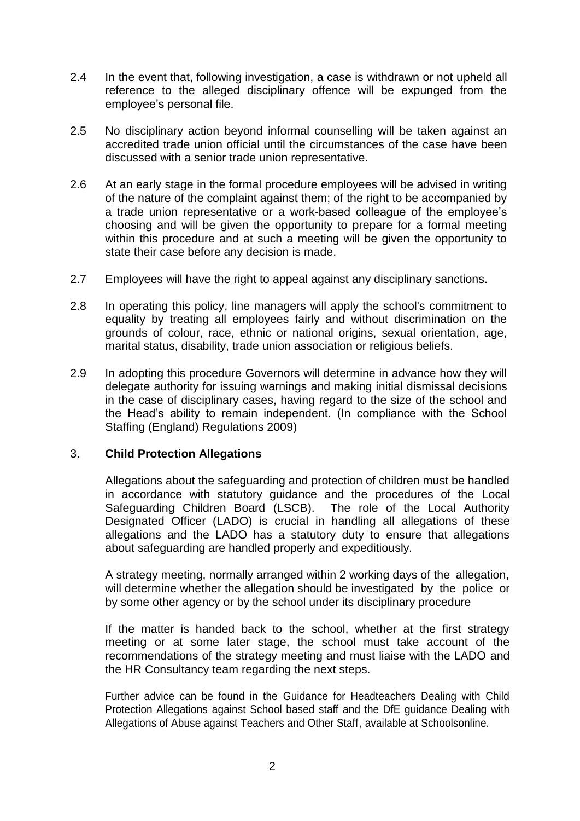- 2.4 In the event that, following investigation, a case is withdrawn or not upheld all reference to the alleged disciplinary offence will be expunged from the employee's personal file.
- 2.5 No disciplinary action beyond informal counselling will be taken against an accredited trade union official until the circumstances of the case have been discussed with a senior trade union representative.
- 2.6 At an early stage in the formal procedure employees will be advised in writing of the nature of the complaint against them; of the right to be accompanied by a trade union representative or a work-based colleague of the employee's choosing and will be given the opportunity to prepare for a formal meeting within this procedure and at such a meeting will be given the opportunity to state their case before any decision is made.
- 2.7 Employees will have the right to appeal against any disciplinary sanctions.
- 2.8 In operating this policy, line managers will apply the school's commitment to equality by treating all employees fairly and without discrimination on the grounds of colour, race, ethnic or national origins, sexual orientation, age, marital status, disability, trade union association or religious beliefs.
- 2.9 In adopting this procedure Governors will determine in advance how they will delegate authority for issuing warnings and making initial dismissal decisions in the case of disciplinary cases, having regard to the size of the school and the Head's ability to remain independent. (In compliance with the School Staffing (England) Regulations 2009)

## 3. **Child Protection Allegations**

Allegations about the safeguarding and protection of children must be handled in accordance with statutory guidance and the procedures of the Local Safeguarding Children Board (LSCB). The role of the Local Authority Designated Officer (LADO) is crucial in handling all allegations of these allegations and the LADO has a statutory duty to ensure that allegations about safeguarding are handled properly and expeditiously.

A strategy meeting, normally arranged within 2 working days of the allegation, will determine whether the allegation should be investigated by the police or by some other agency or by the school under its disciplinary procedure

If the matter is handed back to the school, whether at the first strategy meeting or at some later stage, the school must take account of the recommendations of the strategy meeting and must liaise with the LADO and the HR Consultancy team regarding the next steps.

Further advice can be found in the Guidance for Headteachers Dealing with Child Protection Allegations against School based staff and the DfE guidance Dealing with Allegations of Abuse against Teachers and Other Staff, available at Schoolsonline.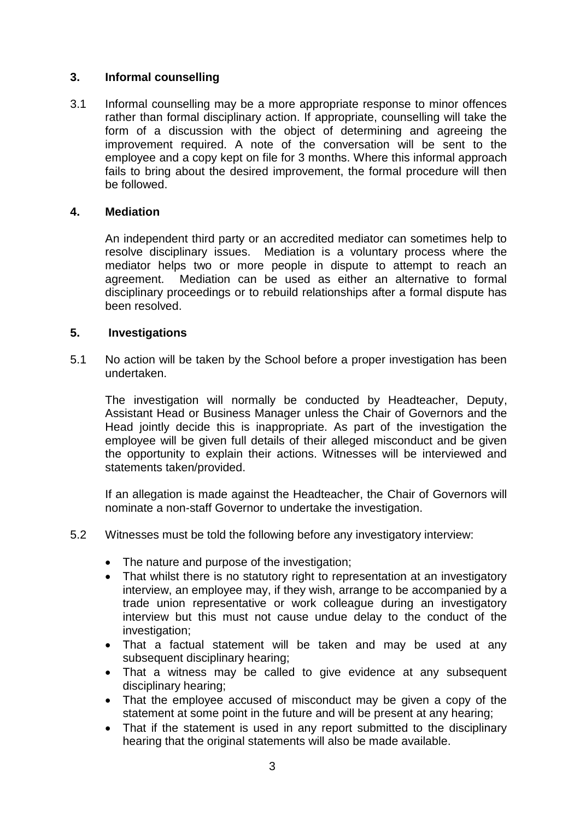## **3. Informal counselling**

3.1 Informal counselling may be a more appropriate response to minor offences rather than formal disciplinary action. If appropriate, counselling will take the form of a discussion with the object of determining and agreeing the improvement required. A note of the conversation will be sent to the employee and a copy kept on file for 3 months. Where this informal approach fails to bring about the desired improvement, the formal procedure will then be followed.

## **4. Mediation**

An independent third party or an accredited mediator can sometimes help to resolve disciplinary issues. Mediation is a voluntary process where the mediator helps two or more people in dispute to attempt to reach an agreement. Mediation can be used as either an alternative to formal disciplinary proceedings or to rebuild relationships after a formal dispute has been resolved.

## **5. Investigations**

5.1 No action will be taken by the School before a proper investigation has been undertaken.

The investigation will normally be conducted by Headteacher, Deputy, Assistant Head or Business Manager unless the Chair of Governors and the Head jointly decide this is inappropriate. As part of the investigation the employee will be given full details of their alleged misconduct and be given the opportunity to explain their actions. Witnesses will be interviewed and statements taken/provided.

If an allegation is made against the Headteacher, the Chair of Governors will nominate a non-staff Governor to undertake the investigation.

- 5.2 Witnesses must be told the following before any investigatory interview:
	- The nature and purpose of the investigation;
	- That whilst there is no statutory right to representation at an investigatory interview, an employee may, if they wish, arrange to be accompanied by a trade union representative or work colleague during an investigatory interview but this must not cause undue delay to the conduct of the investigation;
	- That a factual statement will be taken and may be used at any subsequent disciplinary hearing;
	- That a witness may be called to give evidence at any subsequent disciplinary hearing;
	- That the employee accused of misconduct may be given a copy of the statement at some point in the future and will be present at any hearing;
	- That if the statement is used in any report submitted to the disciplinary hearing that the original statements will also be made available.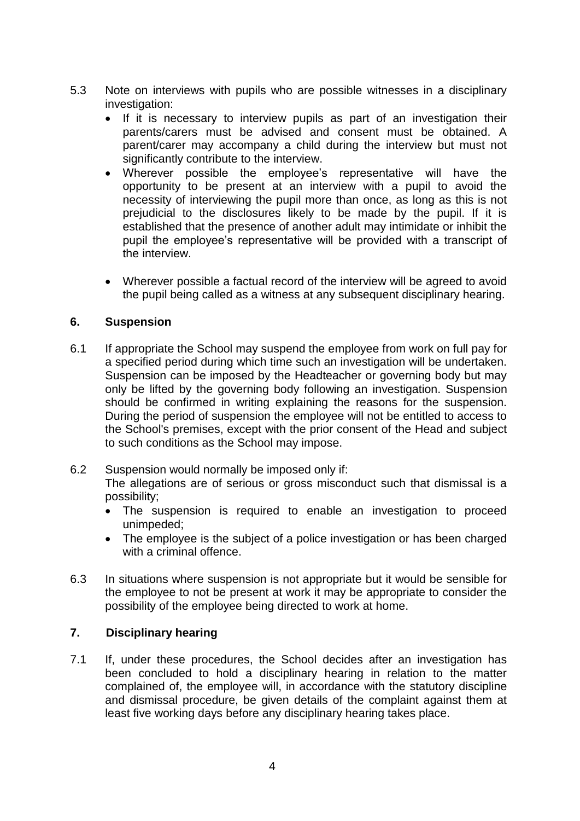- 5.3 Note on interviews with pupils who are possible witnesses in a disciplinary investigation:
	- If it is necessary to interview pupils as part of an investigation their parents/carers must be advised and consent must be obtained. A parent/carer may accompany a child during the interview but must not significantly contribute to the interview.
	- Wherever possible the employee's representative will have the opportunity to be present at an interview with a pupil to avoid the necessity of interviewing the pupil more than once, as long as this is not prejudicial to the disclosures likely to be made by the pupil. If it is established that the presence of another adult may intimidate or inhibit the pupil the employee's representative will be provided with a transcript of the interview.
	- Wherever possible a factual record of the interview will be agreed to avoid the pupil being called as a witness at any subsequent disciplinary hearing.

## **6. Suspension**

6.1 If appropriate the School may suspend the employee from work on full pay for a specified period during which time such an investigation will be undertaken. Suspension can be imposed by the Headteacher or governing body but may only be lifted by the governing body following an investigation. Suspension should be confirmed in writing explaining the reasons for the suspension. During the period of suspension the employee will not be entitled to access to the School's premises, except with the prior consent of the Head and subject to such conditions as the School may impose.

## 6.2 Suspension would normally be imposed only if:

The allegations are of serious or gross misconduct such that dismissal is a possibility;

- The suspension is required to enable an investigation to proceed unimpeded;
- The employee is the subject of a police investigation or has been charged with a criminal offence.
- 6.3 In situations where suspension is not appropriate but it would be sensible for the employee to not be present at work it may be appropriate to consider the possibility of the employee being directed to work at home.

## **7. Disciplinary hearing**

7.1 If, under these procedures, the School decides after an investigation has been concluded to hold a disciplinary hearing in relation to the matter complained of, the employee will, in accordance with the statutory discipline and dismissal procedure, be given details of the complaint against them at least five working days before any disciplinary hearing takes place.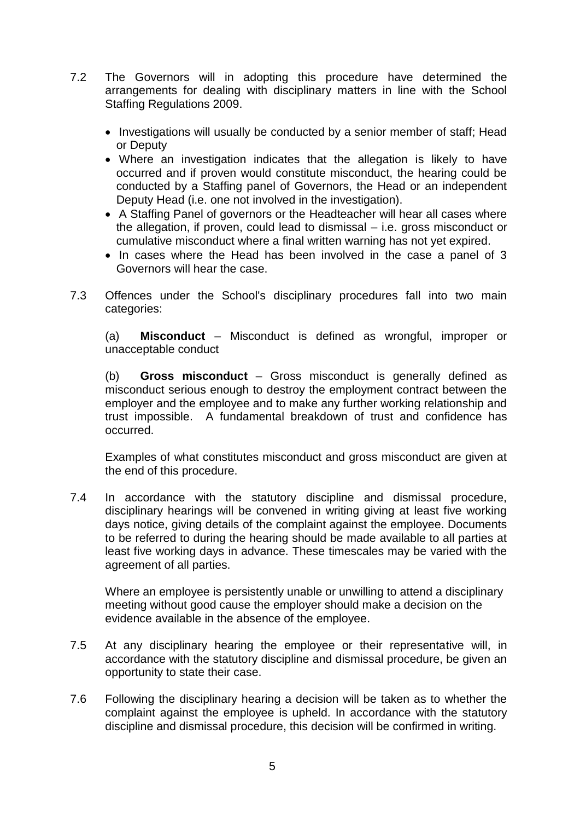- 7.2 The Governors will in adopting this procedure have determined the arrangements for dealing with disciplinary matters in line with the School Staffing Regulations 2009.
	- Investigations will usually be conducted by a senior member of staff; Head or Deputy
	- Where an investigation indicates that the allegation is likely to have occurred and if proven would constitute misconduct, the hearing could be conducted by a Staffing panel of Governors, the Head or an independent Deputy Head (i.e. one not involved in the investigation).
	- A Staffing Panel of governors or the Headteacher will hear all cases where the allegation, if proven, could lead to dismissal – i.e. gross misconduct or cumulative misconduct where a final written warning has not yet expired.
	- In cases where the Head has been involved in the case a panel of 3 Governors will hear the case.
- 7.3 Offences under the School's disciplinary procedures fall into two main categories:

(a) **Misconduct** – Misconduct is defined as wrongful, improper or unacceptable conduct

(b) **Gross misconduct** – Gross misconduct is generally defined as misconduct serious enough to destroy the employment contract between the employer and the employee and to make any further working relationship and trust impossible. A fundamental breakdown of trust and confidence has occurred.

Examples of what constitutes misconduct and gross misconduct are given at the end of this procedure.

7.4 In accordance with the statutory discipline and dismissal procedure, disciplinary hearings will be convened in writing giving at least five working days notice, giving details of the complaint against the employee. Documents to be referred to during the hearing should be made available to all parties at least five working days in advance. These timescales may be varied with the agreement of all parties.

Where an employee is persistently unable or unwilling to attend a disciplinary meeting without good cause the employer should make a decision on the evidence available in the absence of the employee.

- 7.5 At any disciplinary hearing the employee or their representative will, in accordance with the statutory discipline and dismissal procedure, be given an opportunity to state their case.
- 7.6 Following the disciplinary hearing a decision will be taken as to whether the complaint against the employee is upheld. In accordance with the statutory discipline and dismissal procedure, this decision will be confirmed in writing.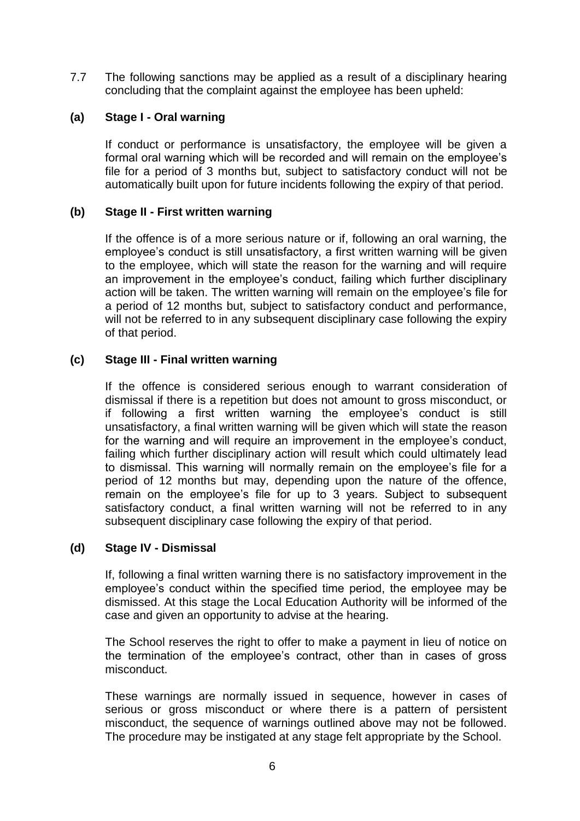7.7 The following sanctions may be applied as a result of a disciplinary hearing concluding that the complaint against the employee has been upheld:

## **(a) Stage I - Oral warning**

If conduct or performance is unsatisfactory, the employee will be given a formal oral warning which will be recorded and will remain on the employee's file for a period of 3 months but, subject to satisfactory conduct will not be automatically built upon for future incidents following the expiry of that period.

## **(b) Stage II - First written warning**

If the offence is of a more serious nature or if, following an oral warning, the employee's conduct is still unsatisfactory, a first written warning will be given to the employee, which will state the reason for the warning and will require an improvement in the employee's conduct, failing which further disciplinary action will be taken. The written warning will remain on the employee's file for a period of 12 months but, subject to satisfactory conduct and performance, will not be referred to in any subsequent disciplinary case following the expiry of that period.

## **(c) Stage III - Final written warning**

If the offence is considered serious enough to warrant consideration of dismissal if there is a repetition but does not amount to gross misconduct, or if following a first written warning the employee's conduct is still unsatisfactory, a final written warning will be given which will state the reason for the warning and will require an improvement in the employee's conduct, failing which further disciplinary action will result which could ultimately lead to dismissal. This warning will normally remain on the employee's file for a period of 12 months but may, depending upon the nature of the offence, remain on the employee's file for up to 3 years. Subject to subsequent satisfactory conduct, a final written warning will not be referred to in any subsequent disciplinary case following the expiry of that period.

## **(d) Stage IV - Dismissal**

If, following a final written warning there is no satisfactory improvement in the employee's conduct within the specified time period, the employee may be dismissed. At this stage the Local Education Authority will be informed of the case and given an opportunity to advise at the hearing.

The School reserves the right to offer to make a payment in lieu of notice on the termination of the employee's contract, other than in cases of gross misconduct.

These warnings are normally issued in sequence, however in cases of serious or gross misconduct or where there is a pattern of persistent misconduct, the sequence of warnings outlined above may not be followed. The procedure may be instigated at any stage felt appropriate by the School.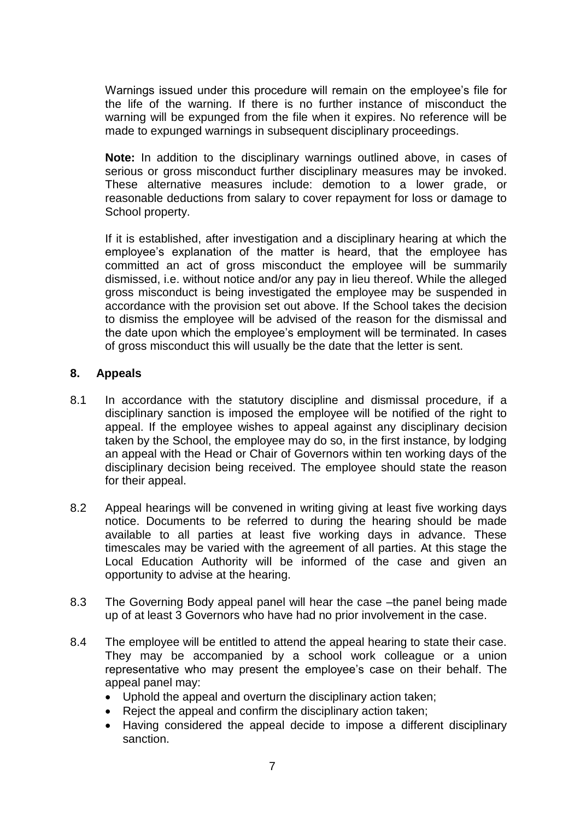Warnings issued under this procedure will remain on the employee's file for the life of the warning. If there is no further instance of misconduct the warning will be expunged from the file when it expires. No reference will be made to expunged warnings in subsequent disciplinary proceedings.

**Note:** In addition to the disciplinary warnings outlined above, in cases of serious or gross misconduct further disciplinary measures may be invoked. These alternative measures include: demotion to a lower grade, or reasonable deductions from salary to cover repayment for loss or damage to School property.

If it is established, after investigation and a disciplinary hearing at which the employee's explanation of the matter is heard, that the employee has committed an act of gross misconduct the employee will be summarily dismissed, i.e. without notice and/or any pay in lieu thereof. While the alleged gross misconduct is being investigated the employee may be suspended in accordance with the provision set out above. If the School takes the decision to dismiss the employee will be advised of the reason for the dismissal and the date upon which the employee's employment will be terminated. In cases of gross misconduct this will usually be the date that the letter is sent.

## **8. Appeals**

- 8.1 In accordance with the statutory discipline and dismissal procedure, if a disciplinary sanction is imposed the employee will be notified of the right to appeal. If the employee wishes to appeal against any disciplinary decision taken by the School, the employee may do so, in the first instance, by lodging an appeal with the Head or Chair of Governors within ten working days of the disciplinary decision being received. The employee should state the reason for their appeal.
- 8.2 Appeal hearings will be convened in writing giving at least five working days notice. Documents to be referred to during the hearing should be made available to all parties at least five working days in advance. These timescales may be varied with the agreement of all parties. At this stage the Local Education Authority will be informed of the case and given an opportunity to advise at the hearing.
- 8.3 The Governing Body appeal panel will hear the case –the panel being made up of at least 3 Governors who have had no prior involvement in the case.
- 8.4 The employee will be entitled to attend the appeal hearing to state their case. They may be accompanied by a school work colleague or a union representative who may present the employee's case on their behalf. The appeal panel may:
	- Uphold the appeal and overturn the disciplinary action taken;
	- Reject the appeal and confirm the disciplinary action taken:
	- Having considered the appeal decide to impose a different disciplinary sanction.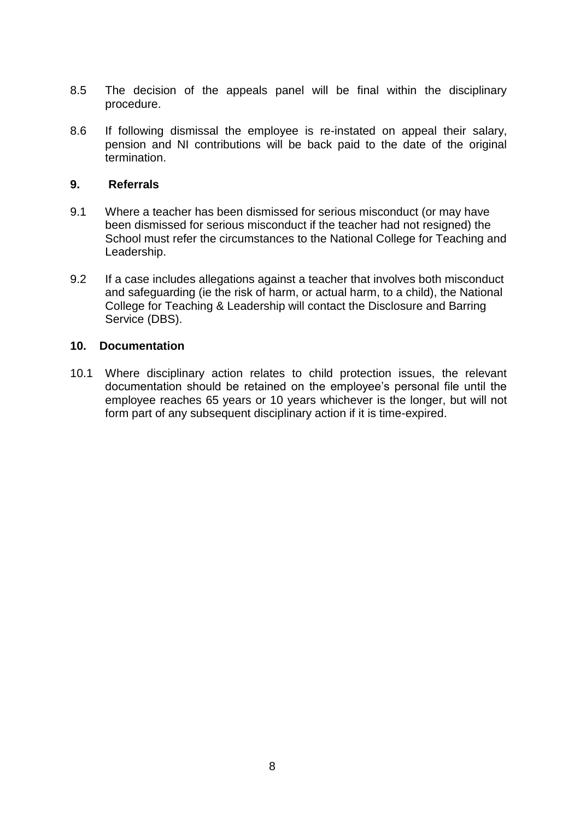- 8.5 The decision of the appeals panel will be final within the disciplinary procedure.
- 8.6 If following dismissal the employee is re-instated on appeal their salary, pension and NI contributions will be back paid to the date of the original termination.

#### **9. Referrals**

- 9.1 Where a teacher has been dismissed for serious misconduct (or may have been dismissed for serious misconduct if the teacher had not resigned) the School must refer the circumstances to the National College for Teaching and Leadership.
- 9.2 If a case includes allegations against a teacher that involves both misconduct and safeguarding (ie the risk of harm, or actual harm, to a child), the National College for Teaching & Leadership will contact the Disclosure and Barring Service (DBS).

#### **10. Documentation**

10.1 Where disciplinary action relates to child protection issues, the relevant documentation should be retained on the employee's personal file until the employee reaches 65 years or 10 years whichever is the longer, but will not form part of any subsequent disciplinary action if it is time-expired.